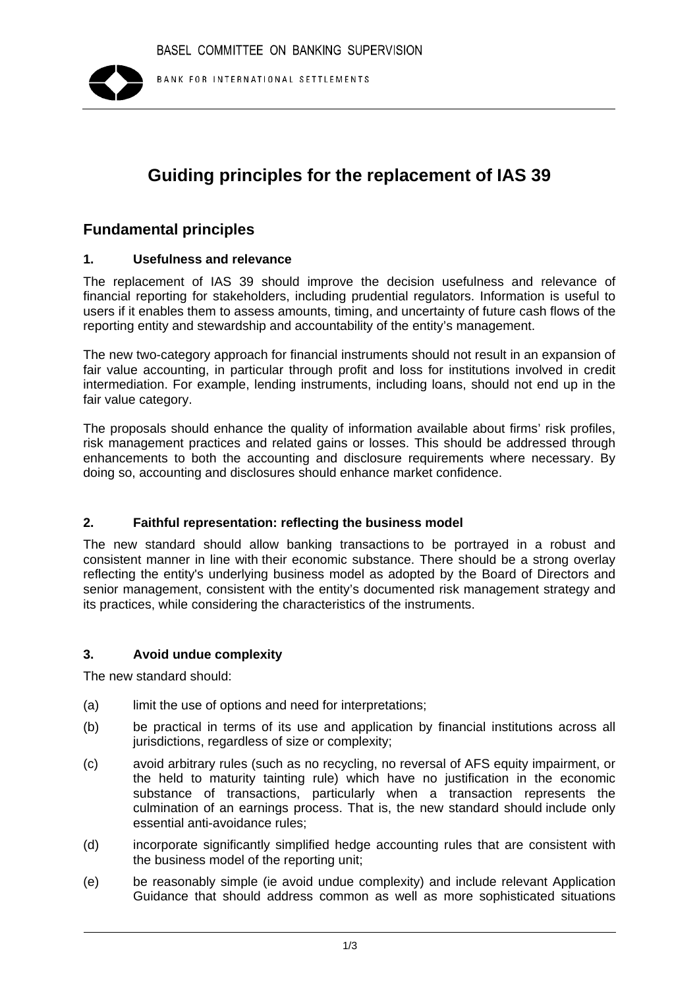

# **Guiding principles for the replacement of IAS 39**

## **Fundamental principles**

#### **1. Usefulness and relevance**

The replacement of IAS 39 should improve the decision usefulness and relevance of financial reporting for stakeholders, including prudential regulators. Information is useful to users if it enables them to assess amounts, timing, and uncertainty of future cash flows of the reporting entity and stewardship and accountability of the entity's management.

The new two-category approach for financial instruments should not result in an expansion of fair value accounting, in particular through profit and loss for institutions involved in credit intermediation. For example, lending instruments, including loans, should not end up in the fair value category.

The proposals should enhance the quality of information available about firms' risk profiles, risk management practices and related gains or losses. This should be addressed through enhancements to both the accounting and disclosure requirements where necessary. By doing so, accounting and disclosures should enhance market confidence.

## **2. Faithful representation: reflecting the business model**

The new standard should allow banking transactions to be portrayed in a robust and consistent manner in line with their economic substance. There should be a strong overlay reflecting the entity's underlying business model as adopted by the Board of Directors and senior management, consistent with the entity's documented risk management strategy and its practices, while considering the characteristics of the instruments.

#### **3. Avoid undue complexity**

The new standard should:

- (a) limit the use of options and need for interpretations:
- (b) be practical in terms of its use and application by financial institutions across all jurisdictions, regardless of size or complexity;
- (c) avoid arbitrary rules (such as no recycling, no reversal of AFS equity impairment, or the held to maturity tainting rule) which have no justification in the economic substance of transactions, particularly when a transaction represents the culmination of an earnings process. That is, the new standard should include only essential anti-avoidance rules;
- (d) incorporate significantly simplified hedge accounting rules that are consistent with the business model of the reporting unit;
- (e) be reasonably simple (ie avoid undue complexity) and include relevant Application Guidance that should address common as well as more sophisticated situations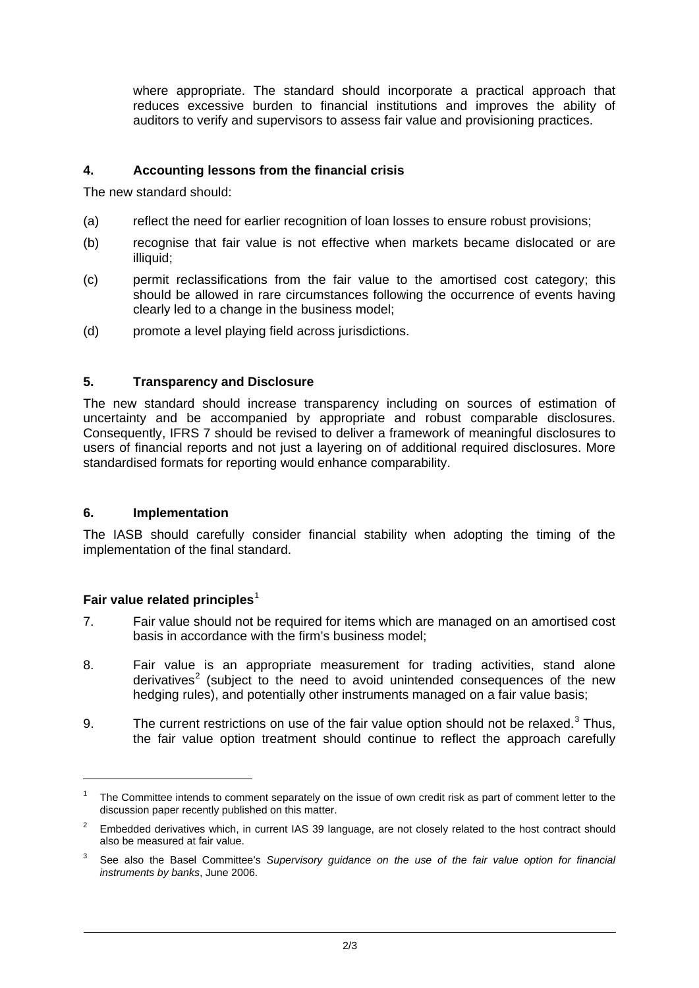<span id="page-1-0"></span>where appropriate. The standard should incorporate a practical approach that reduces excessive burden to financial institutions and improves the ability of auditors to verify and supervisors to assess fair value and provisioning practices.

## <span id="page-1-1"></span>**4. Accounting lessons from the financial crisis**

The new standard should:

- (a) reflect the need for earlier recognition of loan losses to ensure robust provisions;
- (b) recognise that fair value is not effective when markets became dislocated or are illiquid:
- (c) permit reclassifications from the fair value to the amortised cost category; this should be allowed in rare circumstances following the occurrence of events having clearly led to a change in the business model;
- (d) promote a level playing field across jurisdictions.

#### **5. Transparency and Disclosure**

The new standard should increase transparency including on sources of estimation of uncertainty and be accompanied by appropriate and robust comparable disclosures. Consequently, IFRS 7 should be revised to deliver a framework of meaningful disclosures to users of financial reports and not just a layering on of additional required disclosures. More standardised formats for reporting would enhance comparability.

#### **6. Implementation**

The IASB should carefully consider financial stability when adopting the timing of the implementation of the final standard.

## Fair value related principles<sup>[1](#page-1-0)</sup>

-

- 7. Fair value should not be required for items which are managed on an amortised cost basis in accordance with the firm's business model;
- 8. Fair value is an appropriate measurement for trading activities, stand alone derivatives<sup>[2](#page-1-1)</sup> (subject to the need to avoid unintended consequences of the new hedging rules), and potentially other instruments managed on a fair value basis;
- 9. The current restrictions on use of the fair value option should not be relaxed. $3$  Thus, the fair value option treatment should continue to reflect the approach carefully

<sup>1</sup> The Committee intends to comment separately on the issue of own credit risk as part of comment letter to the discussion paper recently published on this matter.

<sup>2</sup> Embedded derivatives which, in current IAS 39 language, are not closely related to the host contract should also be measured at fair value.

<sup>3</sup> See also the Basel Committee's *Supervisory guidance on the use of the fair value option for financial instruments by banks*, June 2006.